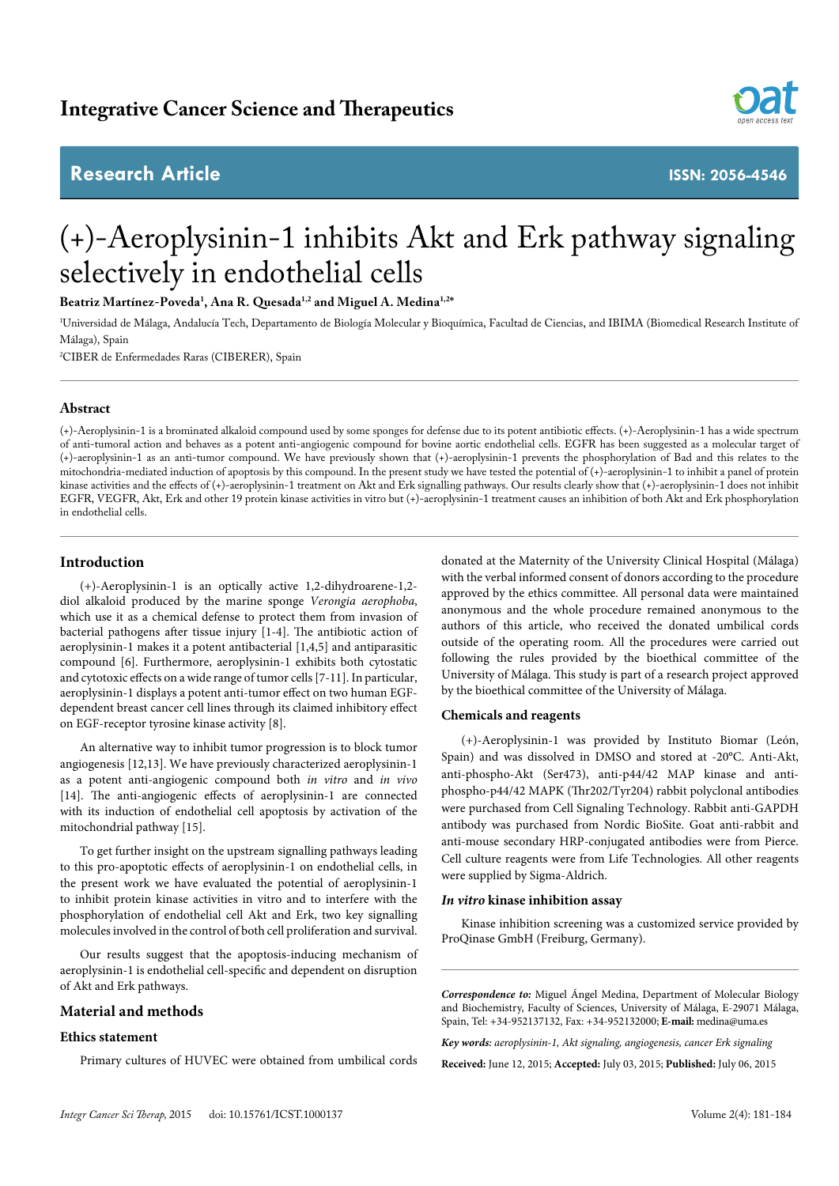## **Research Article ISSN: 2056-4546**



# (+)-Aeroplysinin-1 inhibits Akt and Erk pathway signaling selectively in endothelial cells

**Beatriz Martínez-Poveda1 , Ana R. Quesada1,2 and Miguel A. Medina1,2\***

1 Universidad de Málaga, Andalucía Tech, Departamento de Biología Molecular y Bioquímica, Facultad de Ciencias, and IBIMA (Biomedical Research Institute of Málaga), Spain

2 CIBER de Enfermedades Raras (CIBERER), Spain

#### **Abstract**

(+)-Aeroplysinin-1 is a brominated alkaloid compound used by some sponges for defense due to its potent antibiotic effects. (+)-Aeroplysinin-1 has a wide spectrum of anti-tumoral action and behaves as a potent anti-angiogenic compound for bovine aortic endothelial cells. EGFR has been suggested as a molecular target of (+)-aeroplysinin-1 as an anti-tumor compound. We have previously shown that (+)-aeroplysinin-1 prevents the phosphorylation of Bad and this relates to the mitochondria-mediated induction of apoptosis by this compound. In the present study we have tested the potential of  $(+)$ -aeroplysinin-1 to inhibit a panel of protein kinase activities and the effects of (+)-aeroplysinin-1 treatment on Akt and Erk signalling pathways. Our results clearly show that (+)-aeroplysinin-1 does not inhibit EGFR, VEGFR, Akt, Erk and other 19 protein kinase activities in vitro but (+)-aeroplysinin-1 treatment causes an inhibition of both Akt and Erk phosphorylation in endothelial cells.

#### **Introduction**

(+)-Aeroplysinin-1 is an optically active 1,2-dihydroarene-1,2 diol alkaloid produced by the marine sponge *Verongia aerophoba*, which use it as a chemical defense to protect them from invasion of bacterial pathogens after tissue injury [1-4]. The antibiotic action of aeroplysinin-1 makes it a potent antibacterial [1,4,5] and antiparasitic compound [6]. Furthermore, aeroplysinin-1 exhibits both cytostatic and cytotoxic effects on a wide range of tumor cells [7-11]. In particular, aeroplysinin-1 displays a potent anti-tumor effect on two human EGFdependent breast cancer cell lines through its claimed inhibitory effect on EGF-receptor tyrosine kinase activity [8].

An alternative way to inhibit tumor progression is to block tumor angiogenesis [12,13]. We have previously characterized aeroplysinin-1 as a potent anti-angiogenic compound both *in vitro* and *in vivo* [14]. The anti-angiogenic effects of aeroplysinin-1 are connected with its induction of endothelial cell apoptosis by activation of the mitochondrial pathway [15].

To get further insight on the upstream signalling pathways leading to this pro-apoptotic effects of aeroplysinin-1 on endothelial cells, in the present work we have evaluated the potential of aeroplysinin-1 to inhibit protein kinase activities in vitro and to interfere with the phosphorylation of endothelial cell Akt and Erk, two key signalling molecules involved in the control of both cell proliferation and survival.

Our results suggest that the apoptosis-inducing mechanism of aeroplysinin-1 is endothelial cell-specific and dependent on disruption of Akt and Erk pathways.

#### **Material and methods**

#### **Ethics statement**

Primary cultures of HUVEC were obtained from umbilical cords

donated at the Maternity of the University Clinical Hospital (Málaga) with the verbal informed consent of donors according to the procedure approved by the ethics committee. All personal data were maintained anonymous and the whole procedure remained anonymous to the authors of this article, who received the donated umbilical cords outside of the operating room. All the procedures were carried out following the rules provided by the bioethical committee of the University of Málaga. This study is part of a research project approved by the bioethical committee of the University of Málaga.

#### **Chemicals and reagents**

(+)-Aeroplysinin-1 was provided by Instituto Biomar (León, Spain) and was dissolved in DMSO and stored at -20°C. Anti-Akt, anti-phospho-Akt (Ser473), anti-p44/42 MAP kinase and antiphospho-p44/42 MAPK (Thr202/Tyr204) rabbit polyclonal antibodies were purchased from Cell Signaling Technology. Rabbit anti-GAPDH antibody was purchased from Nordic BioSite. Goat anti-rabbit and anti-mouse secondary HRP-conjugated antibodies were from Pierce. Cell culture reagents were from Life Technologies. All other reagents were supplied by Sigma-Aldrich.

#### *In vitro* **kinase inhibition assay**

Kinase inhibition screening was a customized service provided by ProQinase GmbH (Freiburg, Germany).

*Correspondence to:* Miguel Ángel Medina, Department of Molecular Biology and Biochemistry, Faculty of Sciences, University of Málaga, E-29071 Málaga, Spain, Tel: +34-952137132, Fax: +34-952132000; **E-mail:** medina@uma.es

*Key words: aeroplysinin-1, Akt signaling, angiogenesis, cancer Erk signaling*

**Received:** June 12, 2015; **Accepted:** July 03, 2015; **Published:** July 06, 2015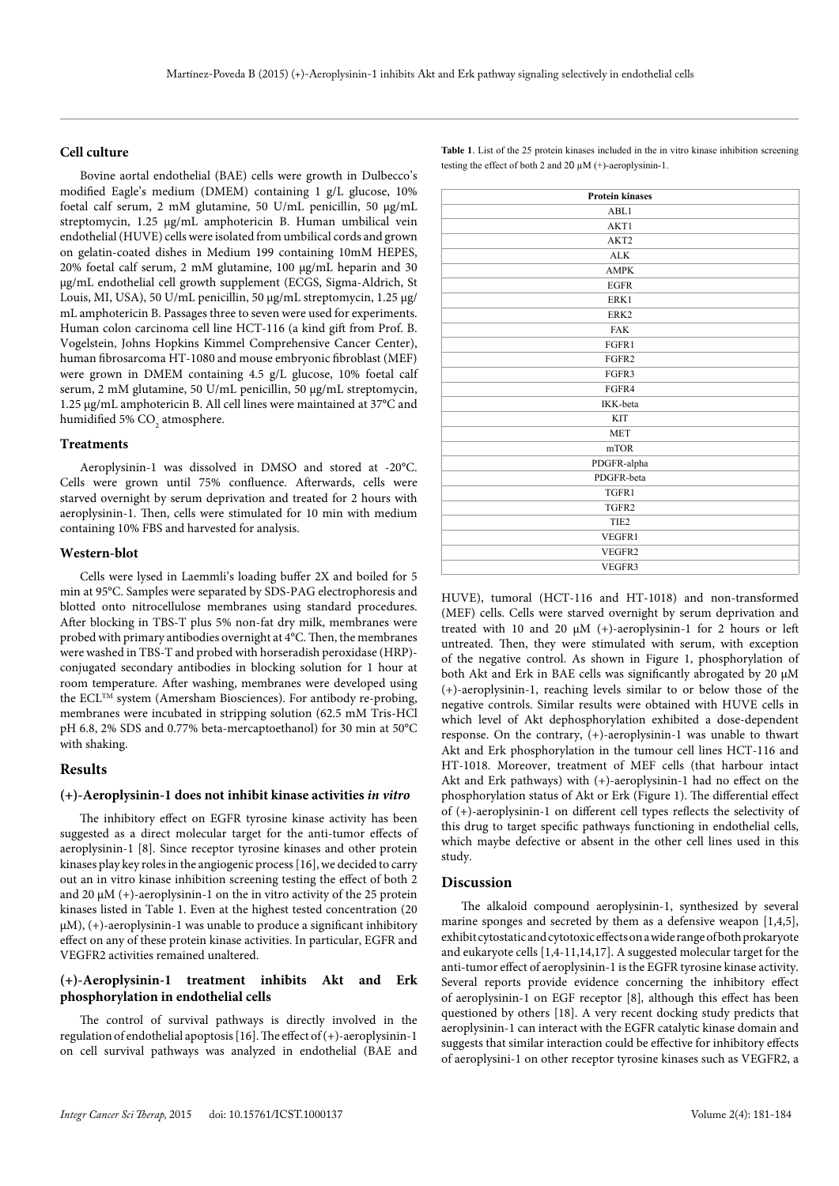#### **Cell culture**

Bovine aortal endothelial (BAE) cells were growth in Dulbecco's modified Eagle's medium (DMEM) containing 1 g/L glucose, 10% foetal calf serum, 2 mM glutamine, 50 U/mL penicillin, 50 µg/mL streptomycin, 1.25 µg/mL amphotericin B. Human umbilical vein endothelial (HUVE) cells were isolated from umbilical cords and grown on gelatin-coated dishes in Medium 199 containing 10mM HEPES, 20% foetal calf serum, 2 mM glutamine, 100 µg/mL heparin and 30 µg/mL endothelial cell growth supplement (ECGS, Sigma-Aldrich, St Louis, MI, USA), 50 U/mL penicillin, 50 µg/mL streptomycin, 1.25 µg/ mL amphotericin B. Passages three to seven were used for experiments. Human colon carcinoma cell line HCT-116 (a kind gift from Prof. B. Vogelstein, Johns Hopkins Kimmel Comprehensive Cancer Center), human fibrosarcoma HT-1080 and mouse embryonic fibroblast (MEF) were grown in DMEM containing 4.5 g/L glucose, 10% foetal calf serum, 2 mM glutamine, 50 U/mL penicillin, 50 µg/mL streptomycin, 1.25 µg/mL amphotericin B. All cell lines were maintained at 37°C and humidified 5%  $\mathrm{CO}_2$  atmosphere.

#### **Treatments**

Aeroplysinin-1 was dissolved in DMSO and stored at -20°C. Cells were grown until 75% confluence. Afterwards, cells were starved overnight by serum deprivation and treated for 2 hours with aeroplysinin-1. Then, cells were stimulated for 10 min with medium containing 10% FBS and harvested for analysis.

#### **Western-blot**

Cells were lysed in Laemmli's loading buffer 2X and boiled for 5 min at 95°C. Samples were separated by SDS-PAG electrophoresis and blotted onto nitrocellulose membranes using standard procedures. After blocking in TBS-T plus 5% non-fat dry milk, membranes were probed with primary antibodies overnight at 4°C. Then, the membranes were washed in TBS-T and probed with horseradish peroxidase (HRP) conjugated secondary antibodies in blocking solution for 1 hour at room temperature. After washing, membranes were developed using the ECL™ system (Amersham Biosciences). For antibody re-probing, membranes were incubated in stripping solution (62.5 mM Tris-HCl pH 6.8, 2% SDS and 0.77% beta-mercaptoethanol) for 30 min at 50°C with shaking.

#### **Results**

#### **(+)-Aeroplysinin-1 does not inhibit kinase activities** *in vitro*

The inhibitory effect on EGFR tyrosine kinase activity has been suggested as a direct molecular target for the anti-tumor effects of aeroplysinin-1 [8]. Since receptor tyrosine kinases and other protein kinases play key roles in the angiogenic process [16], we decided to carry out an in vitro kinase inhibition screening testing the effect of both 2 and 20  $\mu$ M (+)-aeroplysinin-1 on the in vitro activity of the 25 protein kinases listed in Table 1. Even at the highest tested concentration (20  $\mu$ M), (+)-aeroplysinin-1 was unable to produce a significant inhibitory effect on any of these protein kinase activities. In particular, EGFR and VEGFR2 activities remained unaltered.

#### **(+)-Aeroplysinin-1 treatment inhibits Akt and Erk phosphorylation in endothelial cells**

The control of survival pathways is directly involved in the regulation of endothelial apoptosis [16]. The effect of  $(+)$ -aeroplysinin-1 on cell survival pathways was analyzed in endothelial (BAE and

**Table 1**. List of the 25 protein kinases included in the in vitro kinase inhibition screening testing the effect of both 2 and 20  $\mu$ M (+)-aeroplysinin-1.

| <b>Protein kinases</b> |
|------------------------|
| ABL1                   |
| AKT1                   |
| AKT2                   |
| <b>ALK</b>             |
| <b>AMPK</b>            |
| <b>EGFR</b>            |
| ERK1                   |
| ERK2                   |
| <b>FAK</b>             |
| FGFR1                  |
| FGFR2                  |
| FGFR3                  |
| FGFR4                  |
| IKK-beta               |
| <b>KIT</b>             |
| <b>MET</b>             |
| mTOR                   |
| PDGFR-alpha            |
| PDGFR-beta             |
| TGFR1                  |
| TGFR2                  |
| TIE <sub>2</sub>       |
| VEGFR1                 |
| VEGFR2                 |
| VEGFR3                 |

HUVE), tumoral (HCT-116 and HT-1018) and non-transformed (MEF) cells. Cells were starved overnight by serum deprivation and treated with 10 and 20 µM (+)-aeroplysinin-1 for 2 hours or left untreated. Then, they were stimulated with serum, with exception of the negative control. As shown in Figure 1, phosphorylation of both Akt and Erk in BAE cells was significantly abrogated by 20 µM (+)-aeroplysinin-1, reaching levels similar to or below those of the negative controls. Similar results were obtained with HUVE cells in which level of Akt dephosphorylation exhibited a dose-dependent response. On the contrary, (+)-aeroplysinin-1 was unable to thwart Akt and Erk phosphorylation in the tumour cell lines HCT-116 and HT-1018. Moreover, treatment of MEF cells (that harbour intact Akt and Erk pathways) with (+)-aeroplysinin-1 had no effect on the phosphorylation status of Akt or Erk (Figure 1). The differential effect of (+)-aeroplysinin-1 on different cell types reflects the selectivity of this drug to target specific pathways functioning in endothelial cells, which maybe defective or absent in the other cell lines used in this study.

#### **Discussion**

The alkaloid compound aeroplysinin-1, synthesized by several marine sponges and secreted by them as a defensive weapon [1,4,5], exhibit cytostatic and cytotoxic effects on a wide range of both prokaryote and eukaryote cells [1,4-11,14,17]. A suggested molecular target for the anti-tumor effect of aeroplysinin-1 is the EGFR tyrosine kinase activity. Several reports provide evidence concerning the inhibitory effect of aeroplysinin-1 on EGF receptor [8]*,* although this effect has been questioned by others [18]. A very recent docking study predicts that aeroplysinin-1 can interact with the EGFR catalytic kinase domain and suggests that similar interaction could be effective for inhibitory effects of aeroplysini-1 on other receptor tyrosine kinases such as VEGFR2, a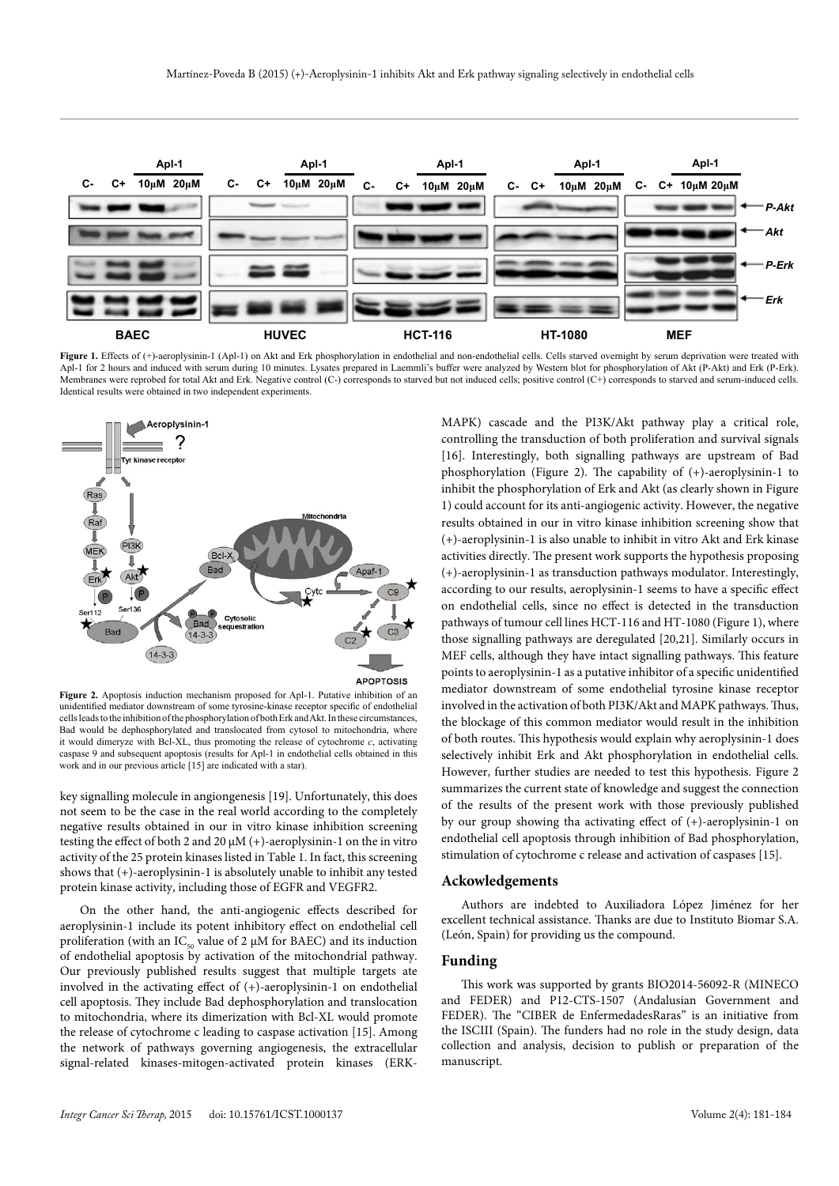

Figure 1. Effects of (+)-aeroplysinin-1 (Apl-1) on Akt and Erk phosphorylation in endothelial and non-endothelial cells. Cells starved overnight by serum deprivation were treated with Apl-1 for 2 hours and induced with serum during 10 minutes. Lysates prepared in Laemmli's buffer were analyzed by Western blot for phosphorylation of Akt (P-Akt) and Erk (P-Erk). Membranes were reprobed for total Akt and Erk. Negative control (C-) corresponds to starved but not induced cells; positive control (C+) corresponds to starved and serum-induced cells. Identical results were obtained in two independent experiments.



Figure 2. Apoptosis induction mechanism proposed for Apl-1. Putative inhibition of an unidentified mediator downstream of some tyrosine-kinase receptor specific of endothelial cells leads to the inhibition of the phosphorylation of both Erk and Akt. In these circumstances, Bad would be dephosphorylated and translocated from cytosol to mitochondria, where it would dimeryze with Bcl-XL, thus promoting the release of cytochrome *c*, activating caspase 9 and subsequent apoptosis (results for Apl-1 in endothelial cells obtained in this work and in our previous article [15] are indicated with a star).

key signalling molecule in angiongenesis [19]. Unfortunately, this does not seem to be the case in the real world according to the completely negative results obtained in our in vitro kinase inhibition screening testing the effect of both 2 and 20  $\mu$ M (+)-aeroplysinin-1 on the in vitro activity of the 25 protein kinases listed in Table 1. In fact, this screening shows that (+)-aeroplysinin-1 is absolutely unable to inhibit any tested protein kinase activity, including those of EGFR and VEGFR2.

On the other hand, the anti-angiogenic effects described for aeroplysinin-1 include its potent inhibitory effect on endothelial cell proliferation (with an  $\text{IC}_{\text{50}}$  value of 2  $\upmu\text{M}$  for BAEC) and its induction of endothelial apoptosis by activation of the mitochondrial pathway. Our previously published results suggest that multiple targets ate involved in the activating effect of (+)-aeroplysinin-1 on endothelial cell apoptosis. They include Bad dephosphorylation and translocation to mitochondria, where its dimerization with Bcl-XL would promote the release of cytochrome c leading to caspase activation [15]. Among the network of pathways governing angiogenesis, the extracellular signal-related kinases-mitogen-activated protein kinases (ERK-

MAPK) cascade and the PI3K/Akt pathway play a critical role, controlling the transduction of both proliferation and survival signals [16]. Interestingly, both signalling pathways are upstream of Bad phosphorylation (Figure 2). The capability of (+)-aeroplysinin-1 to inhibit the phosphorylation of Erk and Akt (as clearly shown in Figure 1) could account for its anti-angiogenic activity. However, the negative results obtained in our in vitro kinase inhibition screening show that (+)-aeroplysinin-1 is also unable to inhibit in vitro Akt and Erk kinase activities directly. The present work supports the hypothesis proposing (+)-aeroplysinin-1 as transduction pathways modulator. Interestingly, according to our results, aeroplysinin-1 seems to have a specific effect on endothelial cells, since no effect is detected in the transduction pathways of tumour cell lines HCT-116 and HT-1080 (Figure 1), where those signalling pathways are deregulated [20,21]. Similarly occurs in MEF cells, although they have intact signalling pathways. This feature points to aeroplysinin-1 as a putative inhibitor of a specific unidentified mediator downstream of some endothelial tyrosine kinase receptor involved in the activation of both PI3K/Akt and MAPK pathways. Thus, the blockage of this common mediator would result in the inhibition of both routes. This hypothesis would explain why aeroplysinin-1 does selectively inhibit Erk and Akt phosphorylation in endothelial cells. However, further studies are needed to test this hypothesis. Figure 2 summarizes the current state of knowledge and suggest the connection of the results of the present work with those previously published by our group showing tha activating effect of (+)-aeroplysinin-1 on endothelial cell apoptosis through inhibition of Bad phosphorylation, stimulation of cytochrome c release and activation of caspases [15].

#### **Ackowledgements**

Authors are indebted to Auxiliadora López Jiménez for her excellent technical assistance. Thanks are due to Instituto Biomar S.A. (León, Spain) for providing us the compound.

### **Funding**

This work was supported by grants BIO2014-56092-R (MINECO and FEDER) and P12-CTS-1507 (Andalusian Government and FEDER). The "CIBER de EnfermedadesRaras" is an initiative from the ISCIII (Spain). The funders had no role in the study design, data collection and analysis, decision to publish or preparation of the manuscript.